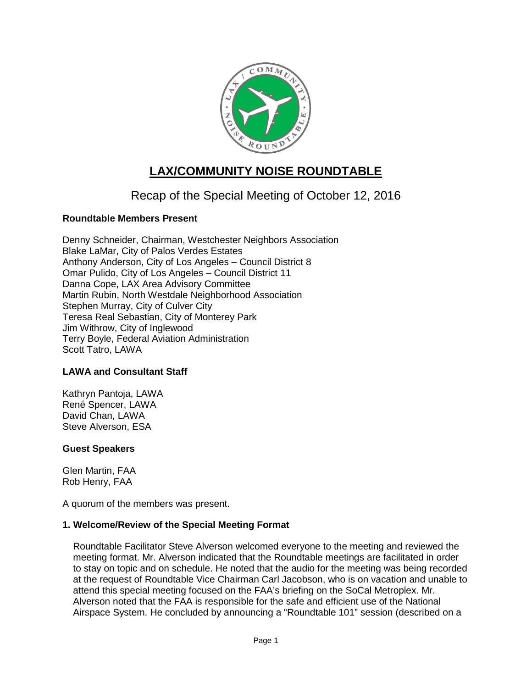

# **LAX/COMMUNITY NOISE ROUNDTABLE**

## Recap of the Special Meeting of October 12, 2016

## **Roundtable Members Present**

Denny Schneider, Chairman, Westchester Neighbors Association Blake LaMar, City of Palos Verdes Estates Anthony Anderson, City of Los Angeles – Council District 8 Omar Pulido, City of Los Angeles – Council District 11 Danna Cope, LAX Area Advisory Committee Martin Rubin, North Westdale Neighborhood Association Stephen Murray, City of Culver City Teresa Real Sebastian, City of Monterey Park Jim Withrow, City of Inglewood Terry Boyle, Federal Aviation Administration Scott Tatro, LAWA

#### **LAWA and Consultant Staff**

Kathryn Pantoja, LAWA René Spencer, LAWA David Chan, LAWA Steve Alverson, ESA

#### **Guest Speakers**

Glen Martin, FAA Rob Henry, FAA

A quorum of the members was present.

#### **1. Welcome/Review of the Special Meeting Format**

Roundtable Facilitator Steve Alverson welcomed everyone to the meeting and reviewed the meeting format. Mr. Alverson indicated that the Roundtable meetings are facilitated in order to stay on topic and on schedule. He noted that the audio for the meeting was being recorded at the request of Roundtable Vice Chairman Carl Jacobson, who is on vacation and unable to attend this special meeting focused on the FAA's briefing on the SoCal Metroplex. Mr. Alverson noted that the FAA is responsible for the safe and efficient use of the National Airspace System. He concluded by announcing a "Roundtable 101" session (described on a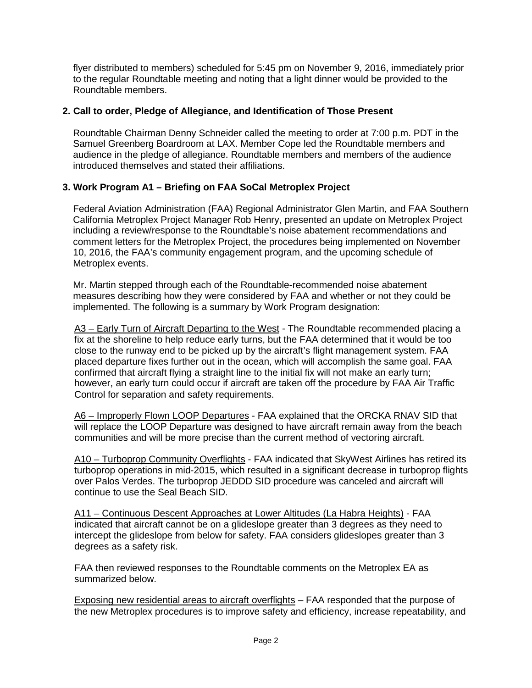flyer distributed to members) scheduled for 5:45 pm on November 9, 2016, immediately prior to the regular Roundtable meeting and noting that a light dinner would be provided to the Roundtable members.

## **2. Call to order, Pledge of Allegiance, and Identification of Those Present**

Roundtable Chairman Denny Schneider called the meeting to order at 7:00 p.m. PDT in the Samuel Greenberg Boardroom at LAX. Member Cope led the Roundtable members and audience in the pledge of allegiance. Roundtable members and members of the audience introduced themselves and stated their affiliations.

## **3. Work Program A1 – Briefing on FAA SoCal Metroplex Project**

Federal Aviation Administration (FAA) Regional Administrator Glen Martin, and FAA Southern California Metroplex Project Manager Rob Henry, presented an update on Metroplex Project including a review/response to the Roundtable's noise abatement recommendations and comment letters for the Metroplex Project, the procedures being implemented on November 10, 2016, the FAA's community engagement program, and the upcoming schedule of Metroplex events.

Mr. Martin stepped through each of the Roundtable-recommended noise abatement measures describing how they were considered by FAA and whether or not they could be implemented. The following is a summary by Work Program designation:

A3 – Early Turn of Aircraft Departing to the West - The Roundtable recommended placing a fix at the shoreline to help reduce early turns, but the FAA determined that it would be too close to the runway end to be picked up by the aircraft's flight management system. FAA placed departure fixes further out in the ocean, which will accomplish the same goal. FAA confirmed that aircraft flying a straight line to the initial fix will not make an early turn; however, an early turn could occur if aircraft are taken off the procedure by FAA Air Traffic Control for separation and safety requirements.

A6 – Improperly Flown LOOP Departures - FAA explained that the ORCKA RNAV SID that will replace the LOOP Departure was designed to have aircraft remain away from the beach communities and will be more precise than the current method of vectoring aircraft.

A10 – Turboprop Community Overflights - FAA indicated that SkyWest Airlines has retired its turboprop operations in mid-2015, which resulted in a significant decrease in turboprop flights over Palos Verdes. The turboprop JEDDD SID procedure was canceled and aircraft will continue to use the Seal Beach SID.

A11 – Continuous Descent Approaches at Lower Altitudes (La Habra Heights) - FAA indicated that aircraft cannot be on a glideslope greater than 3 degrees as they need to intercept the glideslope from below for safety. FAA considers glideslopes greater than 3 degrees as a safety risk.

FAA then reviewed responses to the Roundtable comments on the Metroplex EA as summarized below.

Exposing new residential areas to aircraft overflights – FAA responded that the purpose of the new Metroplex procedures is to improve safety and efficiency, increase repeatability, and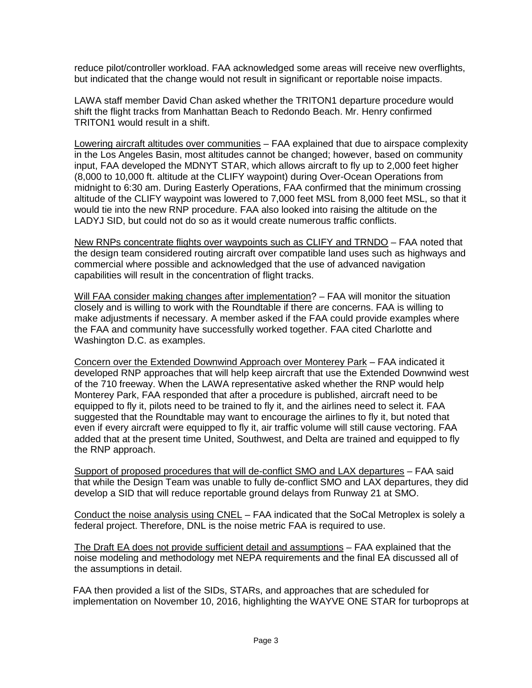reduce pilot/controller workload. FAA acknowledged some areas will receive new overflights, but indicated that the change would not result in significant or reportable noise impacts.

LAWA staff member David Chan asked whether the TRITON1 departure procedure would shift the flight tracks from Manhattan Beach to Redondo Beach. Mr. Henry confirmed TRITON1 would result in a shift.

Lowering aircraft altitudes over communities – FAA explained that due to airspace complexity in the Los Angeles Basin, most altitudes cannot be changed; however, based on community input, FAA developed the MDNYT STAR, which allows aircraft to fly up to 2,000 feet higher (8,000 to 10,000 ft. altitude at the CLIFY waypoint) during Over-Ocean Operations from midnight to 6:30 am. During Easterly Operations, FAA confirmed that the minimum crossing altitude of the CLIFY waypoint was lowered to 7,000 feet MSL from 8,000 feet MSL, so that it would tie into the new RNP procedure. FAA also looked into raising the altitude on the LADYJ SID, but could not do so as it would create numerous traffic conflicts.

New RNPs concentrate flights over waypoints such as CLIFY and TRNDO – FAA noted that the design team considered routing aircraft over compatible land uses such as highways and commercial where possible and acknowledged that the use of advanced navigation capabilities will result in the concentration of flight tracks.

Will FAA consider making changes after implementation? - FAA will monitor the situation closely and is willing to work with the Roundtable if there are concerns. FAA is willing to make adjustments if necessary. A member asked if the FAA could provide examples where the FAA and community have successfully worked together. FAA cited Charlotte and Washington D.C. as examples.

Concern over the Extended Downwind Approach over Monterey Park – FAA indicated it developed RNP approaches that will help keep aircraft that use the Extended Downwind west of the 710 freeway. When the LAWA representative asked whether the RNP would help Monterey Park, FAA responded that after a procedure is published, aircraft need to be equipped to fly it, pilots need to be trained to fly it, and the airlines need to select it. FAA suggested that the Roundtable may want to encourage the airlines to fly it, but noted that even if every aircraft were equipped to fly it, air traffic volume will still cause vectoring. FAA added that at the present time United, Southwest, and Delta are trained and equipped to fly the RNP approach.

Support of proposed procedures that will de-conflict SMO and LAX departures - FAA said that while the Design Team was unable to fully de-conflict SMO and LAX departures, they did develop a SID that will reduce reportable ground delays from Runway 21 at SMO.

Conduct the noise analysis using CNEL – FAA indicated that the SoCal Metroplex is solely a federal project. Therefore, DNL is the noise metric FAA is required to use.

The Draft EA does not provide sufficient detail and assumptions – FAA explained that the noise modeling and methodology met NEPA requirements and the final EA discussed all of the assumptions in detail.

FAA then provided a list of the SIDs, STARs, and approaches that are scheduled for implementation on November 10, 2016, highlighting the WAYVE ONE STAR for turboprops at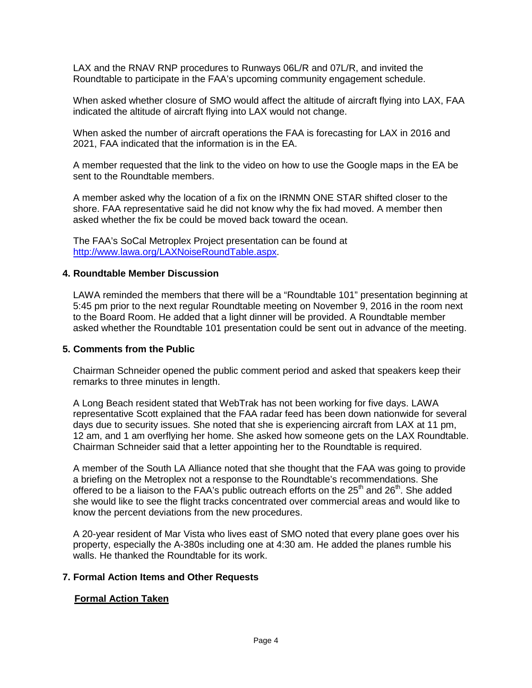LAX and the RNAV RNP procedures to Runways 06L/R and 07L/R, and invited the Roundtable to participate in the FAA's upcoming community engagement schedule.

When asked whether closure of SMO would affect the altitude of aircraft flying into LAX, FAA indicated the altitude of aircraft flying into LAX would not change.

When asked the number of aircraft operations the FAA is forecasting for LAX in 2016 and 2021, FAA indicated that the information is in the EA.

A member requested that the link to the video on how to use the Google maps in the EA be sent to the Roundtable members.

A member asked why the location of a fix on the IRNMN ONE STAR shifted closer to the shore. FAA representative said he did not know why the fix had moved. A member then asked whether the fix be could be moved back toward the ocean.

The FAA's SoCal Metroplex Project presentation can be found at [http://www.lawa.org/LAXNoiseRoundTable.aspx.](http://www.lawa.org/LAXNoiseRoundTable.aspx)

#### **4. Roundtable Member Discussion**

LAWA reminded the members that there will be a "Roundtable 101" presentation beginning at 5:45 pm prior to the next regular Roundtable meeting on November 9, 2016 in the room next to the Board Room. He added that a light dinner will be provided. A Roundtable member asked whether the Roundtable 101 presentation could be sent out in advance of the meeting.

#### **5. Comments from the Public**

Chairman Schneider opened the public comment period and asked that speakers keep their remarks to three minutes in length.

A Long Beach resident stated that WebTrak has not been working for five days. LAWA representative Scott explained that the FAA radar feed has been down nationwide for several days due to security issues. She noted that she is experiencing aircraft from LAX at 11 pm, 12 am, and 1 am overflying her home. She asked how someone gets on the LAX Roundtable. Chairman Schneider said that a letter appointing her to the Roundtable is required.

A member of the South LA Alliance noted that she thought that the FAA was going to provide a briefing on the Metroplex not a response to the Roundtable's recommendations. She offered to be a liaison to the FAA's public outreach efforts on the  $25<sup>th</sup>$  and  $26<sup>th</sup>$ . She added she would like to see the flight tracks concentrated over commercial areas and would like to know the percent deviations from the new procedures.

A 20-year resident of Mar Vista who lives east of SMO noted that every plane goes over his property, especially the A-380s including one at 4:30 am. He added the planes rumble his walls. He thanked the Roundtable for its work.

#### **7. Formal Action Items and Other Requests**

#### **Formal Action Taken**